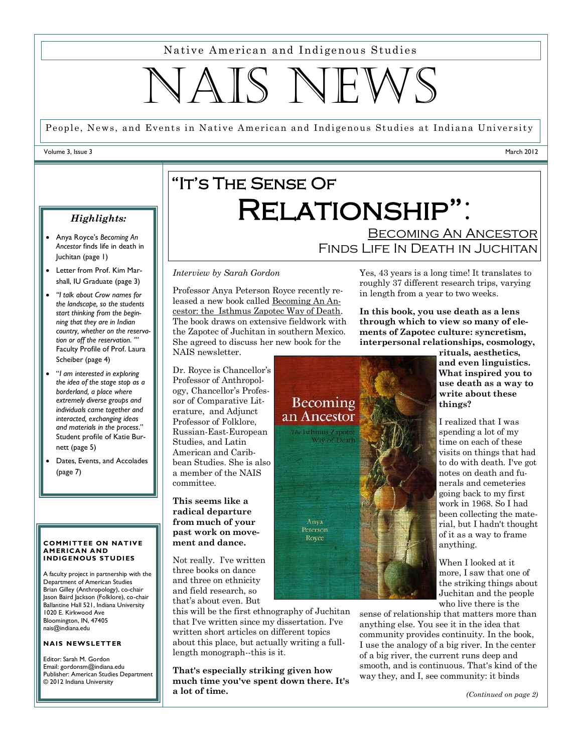Native American and Indigenous Studies

# TATS NE

People, News, and Events in Native American and Indigenous Studies at Indiana University

### Volume 3, Issue 3

March 2012

# "It's The Sense Of Relationship": **BECOMING AN ANCESTOR**

 Anya Royce's *Becoming An Ancestor* finds life in death in Juchitan (page 1)

*Highlights:*

- Letter from Prof. Kim Marshall, IU Graduate (page 3)
- *"I talk about Crow names for the landscape, so the students start thinking from the beginning that they are in Indian country, whether on the reservation or off the reservation. '"*  Faculty Profile of Prof. Laura Scheiber (page 4)
- "*I am interested in exploring the idea of the stage stop as a borderland, a place where extremely diverse groups and individuals came together and interacted, exchanging ideas and materials in the process*." Student profile of Katie Burnett (page 5)
- Dates, Events, and Accolades (page 7)

### **COMMITTEE ON NATIVE AM ER ICA N A ND INDIGENOUS STUDIES**

A faculty project in partnership with the Department of American Studies Brian Gilley (Anthropology), co-chair Jason Baird Jackson (Folklore), co-chair Ballantine Hall 521, Indiana University 1020 E. Kirkwood Ave Bloomington, IN, 47405 nais@indiana.edu

### **NAIS NEWSLETTER**

Editor: Sarah M. Gordon Email: gordonsm@indiana.edu Publisher: American Studies Department © 2012 Indiana University

# *Interview by Sarah Gordon*

Professor Anya Peterson Royce recently released a new book called Becoming An Ancestor: the Isthmus Zapotec Way of Death. The book draws on extensive fieldwork with the Zapotec of Juchitan in southern Mexico. She agreed to discuss her new book for the NAIS newsletter.

Dr. Royce is Chancellor's Professor of Anthropology, Chancellor's Professor of Comparative Literature, and Adjunct Professor of Folklore, Russian-East-European Studies, and Latin American and Caribbean Studies. She is also a member of the NAIS committee.

**This seems like a radical departure from much of your past work on movement and dance.**

Not really. I've written three books on dance and three on ethnicity and field research, so that's about even. But

this will be the first ethnography of Juchitan that I've written since my dissertation. I've written short articles on different topics about this place, but actually writing a fulllength monograph--this is it.

**That's especially striking given how much time you've spent down there. It's a lot of time.**

Yes, 43 years is a long time! It translates to roughly 37 different research trips, varying in length from a year to two weeks.

Finds Life In Death in Juchitan

**In this book, you use death as a lens through which to view so many of elements of Zapotec culture: syncretism, interpersonal relationships, cosmology,** 



**rituals, aesthetics, and even linguistics. What inspired you to use death as a way to write about these things?** 

I realized that I was spending a lot of my time on each of these visits on things that had to do with death. I've got notes on death and funerals and cemeteries going back to my first work in 1968. So I had been collecting the material, but I hadn't thought of it as a way to frame anything.

When I looked at it more, I saw that one of the striking things about Juchitan and the people who live there is the

sense of relationship that matters more than anything else. You see it in the idea that community provides continuity. In the book, I use the analogy of a big river. In the center of a big river, the current runs deep and smooth, and is continuous. That's kind of the way they, and I, see community: it binds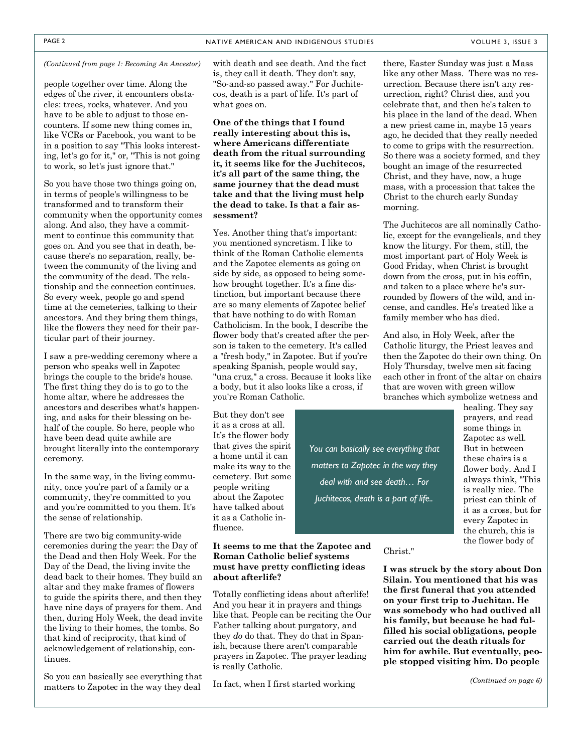people together over time. Along the edges of the river, it encounters obstacles: trees, rocks, whatever. And you have to be able to adjust to those encounters. If some new thing comes in, like VCRs or Facebook, you want to be in a position to say "This looks interesting, let's go for it," or, "This is not going to work, so let's just ignore that."

So you have those two things going on, in terms of people's willingness to be transformed and to transform their community when the opportunity comes along. And also, they have a commitment to continue this community that goes on. And you see that in death, because there's no separation, really, between the community of the living and the community of the dead. The relationship and the connection continues. So every week, people go and spend time at the cemeteries, talking to their ancestors. And they bring them things, like the flowers they need for their particular part of their journey.

I saw a pre-wedding ceremony where a person who speaks well in Zapotec brings the couple to the bride's house. The first thing they do is to go to the home altar, where he addresses the ancestors and describes what's happening, and asks for their blessing on behalf of the couple. So here, people who have been dead quite awhile are brought literally into the contemporary ceremony.

In the same way, in the living community, once you're part of a family or a community, they're committed to you and you're committed to you them. It's the sense of relationship.

There are two big community-wide ceremonies during the year: the Day of the Dead and then Holy Week. For the Day of the Dead, the living invite the dead back to their homes. They build an altar and they make frames of flowers to guide the spirits there, and then they have nine days of prayers for them. And then, during Holy Week, the dead invite the living to their homes, the tombs. So that kind of reciprocity, that kind of acknowledgement of relationship, continues.

So you can basically see everything that matters to Zapotec in the way they deal

*(Continued from page 1: Becoming An Ancestor)* with death and see death. And the fact is, they call it death. They don't say, "So-and-so passed away." For Juchitecos, death is a part of life. It's part of what goes on.

> **One of the things that I found really interesting about this is, where Americans differentiate death from the ritual surrounding it, it seems like for the Juchitecos, it's all part of the same thing, the same journey that the dead must take and that the living must help the dead to take. Is that a fair assessment?**

Yes. Another thing that's important: you mentioned syncretism. I like to think of the Roman Catholic elements and the Zapotec elements as going on side by side, as opposed to being somehow brought together. It's a fine distinction, but important because there are so many elements of Zapotec belief that have nothing to do with Roman Catholicism. In the book, I describe the flower body that's created after the person is taken to the cemetery. It's called a "fresh body," in Zapotec. But if you're speaking Spanish, people would say, "una cruz," a cross. Because it looks like a body, but it also looks like a cross, if you're Roman Catholic.

But they don't see it as a cross at all. It's the flower body that gives the spirit a home until it can make its way to the cemetery. But some people writing about the Zapotec have talked about it as a Catholic influence.

### **It seems to me that the Zapotec and Roman Catholic belief systems must have pretty conflicting ideas about afterlife?**

Totally conflicting ideas about afterlife! And you hear it in prayers and things like that. People can be reciting the Our Father talking about purgatory, and they *do* do that. They do that in Spanish, because there aren't comparable prayers in Zapotec. The prayer leading is really Catholic.

In fact, when I first started working

there, Easter Sunday was just a Mass like any other Mass. There was no resurrection. Because there isn't any resurrection, right? Christ dies, and you celebrate that, and then he's taken to his place in the land of the dead. When a new priest came in, maybe 15 years ago, he decided that they really needed to come to grips with the resurrection. So there was a society formed, and they bought an image of the resurrected Christ, and they have, now, a huge mass, with a procession that takes the Christ to the church early Sunday morning.

The Juchitecos are all nominally Catholic, except for the evangelicals, and they know the liturgy. For them, still, the most important part of Holy Week is Good Friday, when Christ is brought down from the cross, put in his coffin, and taken to a place where he's surrounded by flowers of the wild, and incense, and candles. He's treated like a family member who has died.

And also, in Holy Week, after the Catholic liturgy, the Priest leaves and then the Zapotec do their own thing. On Holy Thursday, twelve men sit facing each other in front of the altar on chairs that are woven with green willow branches which symbolize wetness and

healing. They say prayers, and read some things in Zapotec as well. But in between these chairs is a flower body. And I always think, "This is really nice. The priest can think of it as a cross, but for every Zapotec in the church, this is the flower body of

**I was struck by the story about Don Silain. You mentioned that his was the first funeral that you attended on your first trip to Juchitan. He was somebody who had outlived all his family, but because he had fulfilled his social obligations, people carried out the death rituals for him for awhile. But eventually, people stopped visiting him. Do people** 



Christ."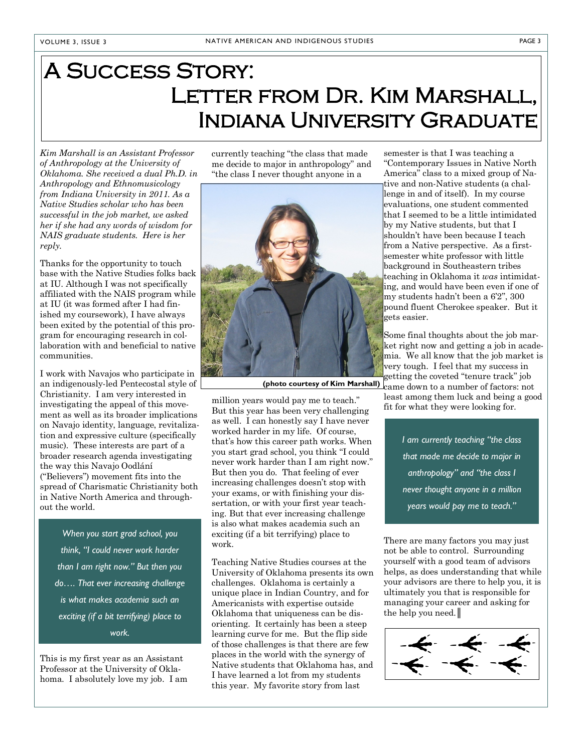# A Success Story: LETTER FROM DR. KIM MARSHALL. Indiana University Graduate

*Kim Marshall is an Assistant Professor of Anthropology at the University of Oklahoma. She received a dual Ph.D. in Anthropology and Ethnomusicology from Indiana University in 2011. As a Native Studies scholar who has been successful in the job market, we asked her if she had any words of wisdom for NAIS graduate students. Here is her reply.*

Thanks for the opportunity to touch base with the Native Studies folks back at IU. Although I was not specifically affiliated with the NAIS program while at IU (it was formed after I had finished my coursework), I have always been exited by the potential of this program for encouraging research in collaboration with and beneficial to native communities.

I work with Navajos who participate in an indigenously-led Pentecostal style of Christianity. I am very interested in investigating the appeal of this movement as well as its broader implications on Navajo identity, language, revitalization and expressive culture (specifically music). These interests are part of a broader research agenda investigating the way this Navajo Oodlání ("Believers") movement fits into the spread of Charismatic Christianity both in Native North America and throughout the world.

*When you start grad school, you think, "I could never work harder than I am right now." But then you do…. That ever increasing challenge is what makes academia such an exciting (if a bit terrifying) place to work.*

This is my first year as an Assistant Professor at the University of Oklahoma. I absolutely love my job. I am currently teaching "the class that made me decide to major in anthropology" and "the class I never thought anyone in a



million years would pay me to teach." But this year has been very challenging as well. I can honestly say I have never worked harder in my life. Of course, that's how this career path works. When you start grad school, you think "I could never work harder than I am right now." But then you do. That feeling of ever increasing challenges doesn't stop with your exams, or with finishing your dissertation, or with your first year teaching. But that ever increasing challenge is also what makes academia such an exciting (if a bit terrifying) place to work.

Teaching Native Studies courses at the University of Oklahoma presents its own challenges. Oklahoma is certainly a unique place in Indian Country, and for Americanists with expertise outside Oklahoma that uniqueness can be disorienting. It certainly has been a steep learning curve for me. But the flip side of those challenges is that there are few places in the world with the synergy of Native students that Oklahoma has, and I have learned a lot from my students this year. My favorite story from last

semester is that I was teaching a "Contemporary Issues in Native North America" class to a mixed group of Native and non-Native students (a challenge in and of itself). In my course evaluations, one student commented that I seemed to be a little intimidated by my Native students, but that I shouldn't have been because I teach from a Native perspective. As a firstsemester white professor with little background in Southeastern tribes teaching in Oklahoma it *was* intimidating, and would have been even if one of my students hadn't been a 6'2'', 300 pound fluent Cherokee speaker. But it gets easier.

Some final thoughts about the job market right now and getting a job in academia. We all know that the job market is very tough. I feel that my success in getting the coveted "tenure track" job (photo courtesy of Kim Marshall) came down to a number of factors: not

least among them luck and being a good fit for what they were looking for.

> *I am currently teaching "the class that made me decide to major in anthropology" and "the class I never thought anyone in a million years would pay me to teach."*

There are many factors you may just not be able to control. Surrounding yourself with a good team of advisors helps, as does understanding that while your advisors are there to help you, it is ultimately you that is responsible for managing your career and asking for the help you need.║

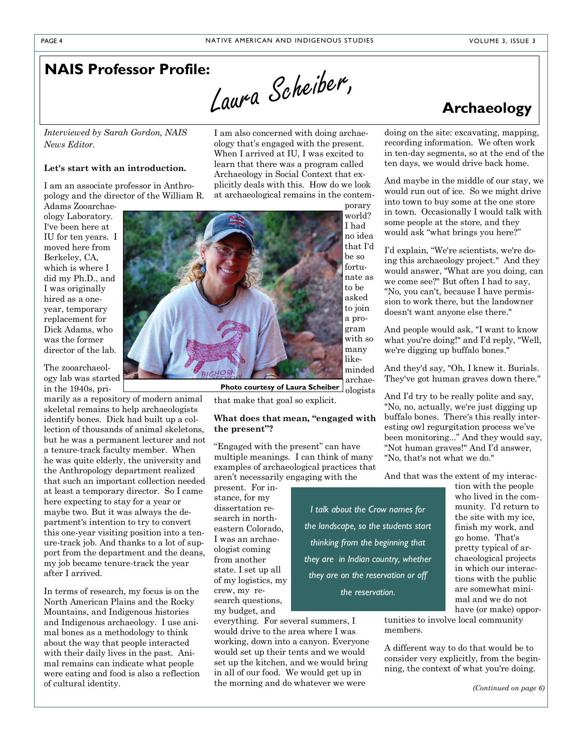Laura Scheiber,

# **NAIS Professor Profile:**

*Interviewed by Sarah Gordon, NAIS News Editor.*

### **Let's start with an introduction.**

I am an associate professor in Anthropology and the director of the William R.

Adams Zooarchaeology Laboratory. I've been here at IU for ten years. I moved here from Berkeley, CA, which is where I did my Ph.D., and I was originally hired as a oneyear, temporary replacement for Dick Adams, who was the former director of the lab.

The zooarchaeology lab was started in the 1940s, pri-

marily as a repository of modern animal skeletal remains to help archaeologists identify bones. Dick had built up a collection of thousands of animal skeletons, but he was a permanent lecturer and not a tenure-track faculty member. When he was quite elderly, the university and the Anthropology department realized that such an important collection needed at least a temporary director. So I came here expecting to stay for a year or maybe two. But it was always the department's intention to try to convert this one-year visiting position into a tenure-track job. And thanks to a lot of support from the department and the deans, my job became tenure-track the year after I arrived.

In terms of research, my focus is on the North American Plains and the Rocky Mountains, and Indigenous histories and Indigenous archaeology. I use animal bones as a methodology to think about the way that people interacted with their daily lives in the past. Animal remains can indicate what people were eating and food is also a reflection of cultural identity.

I am also concerned with doing archaeology that's engaged with the present. When I arrived at IU, I was excited to learn that there was a program called Archaeology in Social Context that explicitly deals with this. How do we look at archaeological remains in the contem-



**Photo courtesy of Laura Scheiber**

that make that goal so explicit.

### **What does that mean, "engaged with the present"?**

"Engaged with the present" can have multiple meanings. I can think of many examples of archaeological practices that aren't necessarily engaging with the

present. For instance, for my dissertation research in northeastern Colorado, I was an archaeologist coming from another state. I set up all of my logistics, my crew, my research questions, my budget, and

everything. For several summers, I would drive to the area where I was working, down into a canyon. Everyone would set up their tents and we would set up the kitchen, and we would bring in all of our food. We would get up in the morning and do whatever we were

**Archaeology**

doing on the site: excavating, mapping, recording information. We often work in ten-day segments, so at the end of the ten days, we would drive back home.

And maybe in the middle of our stay, we would run out of ice. So we might drive into town to buy some at the one store in town. Occasionally I would talk with some people at the store, and they would ask "what brings you here?"

I'd explain, "We're scientists, we're doing this archaeology project." And they would answer, "What are you doing, can we come see?" But often I had to say, "No, you can't, because I have permission to work there, but the landowner doesn't want anyone else there."

And people would ask, "I want to know what you're doing!" and I'd reply, "Well, we're digging up buffalo bones."

And they'd say, "Oh, I knew it. Burials. They've got human graves down there."

And I'd try to be really polite and say, "No, no, actually, we're just digging up buffalo bones. There's this really interesting owl regurgitation process we've been monitoring..." And they would say, "Not human graves!" And I'd answer, "No, that's not what we do."

And that was the extent of my interac-

*I talk about the Crow names for the landscape, so the students start thinking from the beginning that they are in Indian country, whether they are on the reservation or off the reservation.*

tion with the people who lived in the community. I'd return to the site with my ice, finish my work, and go home. That's pretty typical of archaeological projects in which our interactions with the public are somewhat minimal and we do not have (or make) oppor-

tunities to involve local community members.

A different way to do that would be to consider very explicitly, from the beginning, the context of what you're doing.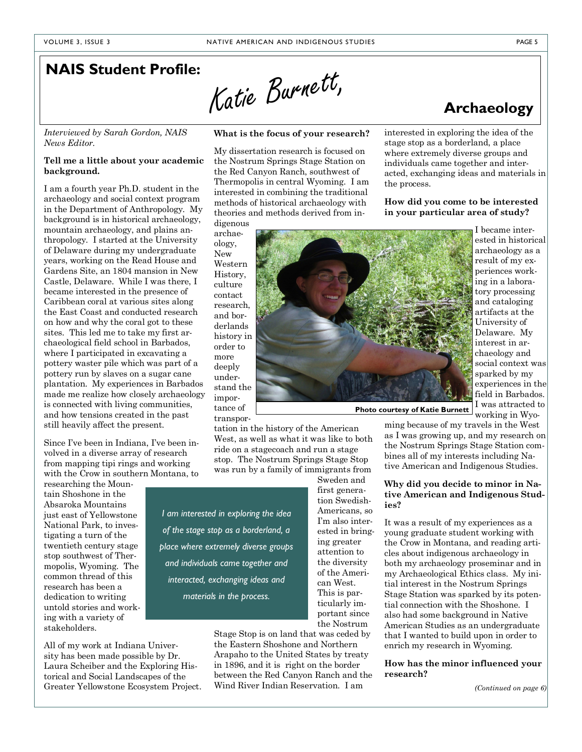Katie Burnett,

# **NAIS Student Profile:**

*Interviewed by Sarah Gordon, NAIS News Editor.*

### **Tell me a little about your academic background.**

I am a fourth year Ph.D. student in the archaeology and social context program in the Department of Anthropology. My background is in historical archaeology, mountain archaeology, and plains anthropology. I started at the University of Delaware during my undergraduate years, working on the Read House and Gardens Site, an 1804 mansion in New Castle, Delaware. While I was there, I became interested in the presence of Caribbean coral at various sites along the East Coast and conducted research on how and why the coral got to these sites. This led me to take my first archaeological field school in Barbados, where I participated in excavating a pottery waster pile which was part of a pottery run by slaves on a sugar cane plantation. My experiences in Barbados made me realize how closely archaeology is connected with living communities, and how tensions created in the past still heavily affect the present.

Since I've been in Indiana, I've been involved in a diverse array of research from mapping tipi rings and working with the Crow in southern Montana, to

researching the Mountain Shoshone in the Absaroka Mountains just east of Yellowstone National Park, to investigating a turn of the twentieth century stage stop southwest of Thermopolis, Wyoming. The common thread of this research has been a dedication to writing untold stories and working with a variety of stakeholders.

All of my work at Indiana University has been made possible by Dr. Laura Scheiber and the Exploring Historical and Social Landscapes of the Greater Yellowstone Ecosystem Project.

### **What is the focus of your research?**

My dissertation research is focused on the Nostrum Springs Stage Station on the Red Canyon Ranch, southwest of Thermopolis in central Wyoming. I am interested in combining the traditional methods of historical archaeology with theories and methods derived from in-

digenous archaeology, New Western History, culture contact research, and borderlands history in order to more deeply understand the importance of transpor-

tation in the history of the American West, as well as what it was like to both ride on a stagecoach and run a stage stop. The Nostrum Springs Stage Stop was run by a family of immigrants from Sweden and

*I am interested in exploring the idea of the stage stop as a borderland, a place where extremely diverse groups and individuals came together and interacted, exchanging ideas and materials in the process.*

> Stage Stop is on land that was ceded by the Eastern Shoshone and Northern Arapaho to the United States by treaty in 1896, and it is right on the border between the Red Canyon Ranch and the Wind River Indian Reservation. I am

interested in exploring the idea of the stage stop as a borderland, a place where extremely diverse groups and individuals came together and interacted, exchanging ideas and materials in the process.

### **How did you come to be interested in your particular area of study?**

I became interested in historical archaeology as a result of my experiences working in a laboratory processing and cataloging artifacts at the University of Delaware. My interest in archaeology and social context was sparked by my experiences in the field in Barbados. I was attracted to working in Wyo-

**Photo courtesy of Katie Burnett**

ming because of my travels in the West as I was growing up, and my research on the Nostrum Springs Stage Station combines all of my interests including Native American and Indigenous Studies.

### **Why did you decide to minor in Native American and Indigenous Studies?**

It was a result of my experiences as a young graduate student working with the Crow in Montana, and reading articles about indigenous archaeology in both my archaeology proseminar and in my Archaeological Ethics class. My initial interest in the Nostrum Springs Stage Station was sparked by its potential connection with the Shoshone. I also had some background in Native American Studies as an undergraduate that I wanted to build upon in order to enrich my research in Wyoming.

**How has the minor influenced your research?**

*(Continued on page 6)*



first generation Swedish-Americans, so I'm also interested in bringing greater attention to the diversity of the American West. This is particularly important since the Nostrum

**Archaeology**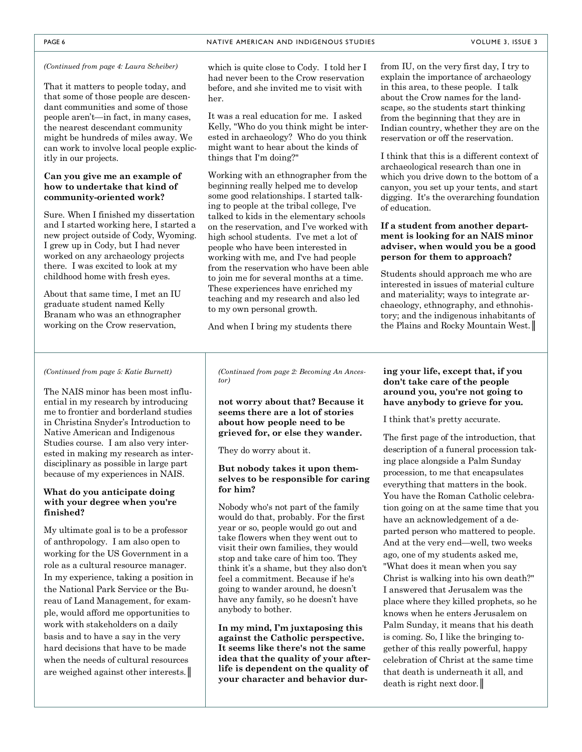That it matters to people today, and that some of those people are descendant communities and some of those people aren't—in fact, in many cases, the nearest descendant community might be hundreds of miles away. We can work to involve local people explicitly in our projects.

### **Can you give me an example of how to undertake that kind of community-oriented work?**

Sure. When I finished my dissertation and I started working here, I started a new project outside of Cody, Wyoming. I grew up in Cody, but I had never worked on any archaeology projects there. I was excited to look at my childhood home with fresh eyes.

About that same time, I met an IU graduate student named Kelly Branam who was an ethnographer working on the Crow reservation,

*(Continued from page 4: Laura Scheiber)* which is quite close to Cody. I told her I had never been to the Crow reservation before, and she invited me to visit with her.

> It was a real education for me. I asked Kelly, "Who do you think might be interested in archaeology? Who do you think might want to hear about the kinds of things that I'm doing?"

> Working with an ethnographer from the beginning really helped me to develop some good relationships. I started talking to people at the tribal college, I've talked to kids in the elementary schools on the reservation, and I've worked with high school students. I've met a lot of people who have been interested in working with me, and I've had people from the reservation who have been able to join me for several months at a time. These experiences have enriched my teaching and my research and also led to my own personal growth.

And when I bring my students there

from IU, on the very first day, I try to explain the importance of archaeology in this area, to these people. I talk about the Crow names for the landscape, so the students start thinking from the beginning that they are in Indian country, whether they are on the reservation or off the reservation.

I think that this is a different context of archaeological research than one in which you drive down to the bottom of a canyon, you set up your tents, and start digging. It's the overarching foundation of education.

### **If a student from another department is looking for an NAIS minor adviser, when would you be a good person for them to approach?**

Students should approach me who are interested in issues of material culture and materiality; ways to integrate archaeology, ethnography, and ethnohistory; and the indigenous inhabitants of the Plains and Rocky Mountain West.

### *(Continued from page 5: Katie Burnett)*

The NAIS minor has been most influential in my research by introducing me to frontier and borderland studies in Christina Snyder's Introduction to Native American and Indigenous Studies course. I am also very interested in making my research as interdisciplinary as possible in large part because of my experiences in NAIS.

### **What do you anticipate doing with your degree when you're finished?**

My ultimate goal is to be a professor of anthropology. I am also open to working for the US Government in a role as a cultural resource manager. In my experience, taking a position in the National Park Service or the Bureau of Land Management, for example, would afford me opportunities to work with stakeholders on a daily basis and to have a say in the very hard decisions that have to be made when the needs of cultural resources are weighed against other interests.║

*(Continued from page 2: Becoming An Ancestor)*

**not worry about that? Because it seems there are a lot of stories about how people need to be grieved for, or else they wander.** 

They do worry about it.

### **But nobody takes it upon themselves to be responsible for caring for him?**

Nobody who's not part of the family would do that, probably. For the first year or so, people would go out and take flowers when they went out to visit their own families, they would stop and take care of him too. They think it's a shame, but they also don't feel a commitment. Because if he's going to wander around, he doesn't have any family, so he doesn't have anybody to bother.

**In my mind, I'm juxtaposing this against the Catholic perspective. It seems like there's not the same idea that the quality of your afterlife is dependent on the quality of your character and behavior dur-**

### **ing your life, except that, if you don't take care of the people around you, you're not going to have anybody to grieve for you.**

I think that's pretty accurate.

The first page of the introduction, that description of a funeral procession taking place alongside a Palm Sunday procession, to me that encapsulates everything that matters in the book. You have the Roman Catholic celebration going on at the same time that you have an acknowledgement of a departed person who mattered to people. And at the very end—well, two weeks ago, one of my students asked me, "What does it mean when you say Christ is walking into his own death?" I answered that Jerusalem was the place where they killed prophets, so he knows when he enters Jerusalem on Palm Sunday, it means that his death is coming. So, I like the bringing together of this really powerful, happy celebration of Christ at the same time that death is underneath it all, and death is right next door.